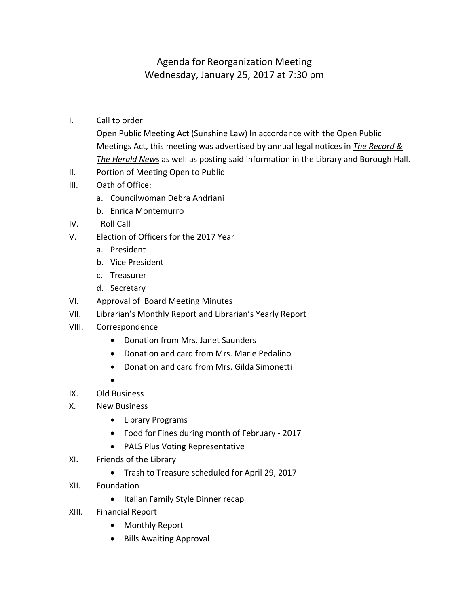## Agenda for Reorganization Meeting Wednesday, January 25, 2017 at 7:30 pm

I. Call to order

Open Public Meeting Act (Sunshine Law) In accordance with the Open Public Meetings Act, this meeting was advertised by annual legal notices in *The Record & The Herald News* as well as posting said information in the Library and Borough Hall.

- II. Portion of Meeting Open to Public
- III. Oath of Office:
	- a. Councilwoman Debra Andriani
	- b. Enrica Montemurro
- IV. Roll Call
- V. Election of Officers for the 2017 Year
	- a. President
	- b. Vice President
	- c. Treasurer
	- d. Secretary
- VI. Approval of Board Meeting Minutes
- VII. Librarian's Monthly Report and Librarian's Yearly Report
- VIII. Correspondence
	- Donation from Mrs. Janet Saunders
	- Donation and card from Mrs. Marie Pedalino
	- Donation and card from Mrs. Gilda Simonetti
	- $\bullet$
- IX. Old Business
- X. New Business
	- Library Programs
	- Food for Fines during month of February 2017
	- PALS Plus Voting Representative
- XI. Friends of the Library
	- Trash to Treasure scheduled for April 29, 2017
- XII. Foundation
	- Italian Family Style Dinner recap
- XIII. Financial Report
	- Monthly Report
	- Bills Awaiting Approval